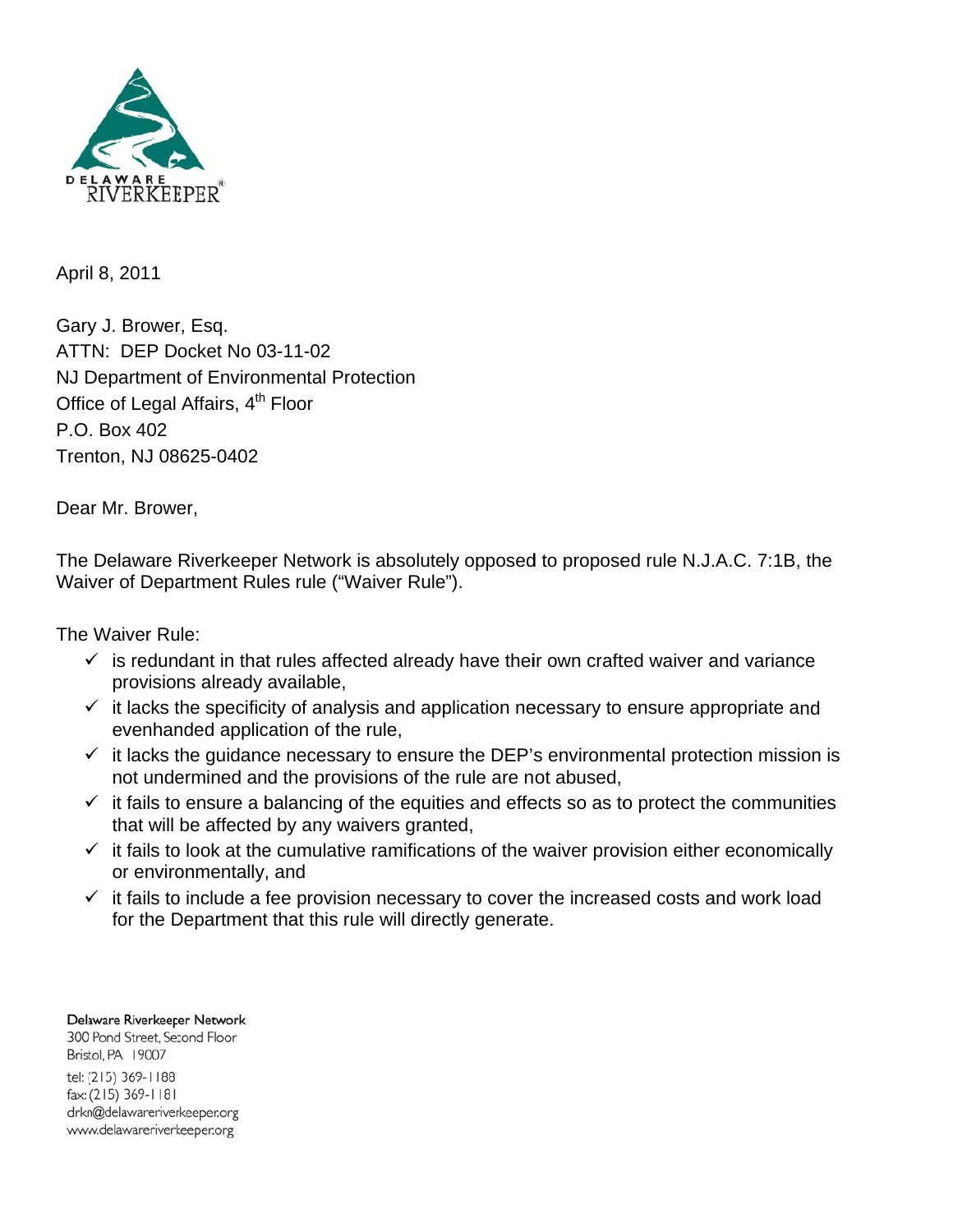

April 8, 2011

Gary J. Brower, Esq. ATTN: DEP Docket No 03-11-02 NJ Department of Environmental Protection Office of Legal Affairs, 4<sup>th</sup> Floor P.O. Box 402 Trenton, NJ 08625-0402

Dear Mr. Brower,

The Delaware Riverkeeper Network is absolutely opposed to proposed rule N.J.A.C. 7:1B, the Waiver of Department Rules rule ("Waiver Rule").

The Waiver Rule:

- $\checkmark$  is redundant in that rules affected already have their own crafted waiver and variance provisions already available,
- $\checkmark$  it lacks the specificity of analysis and application necessary to ensure appropriate and evenhanded application of the rule,
- $\checkmark$  it lacks the guidance necessary to ensure the DEP's environmental protection mission is not undermined and the provisions of the rule are not abused,
- $\checkmark$  it fails to ensure a balancing of the equities and effects so as to protect the communities that will be affected by any waivers granted,
- $\checkmark$  it fails to look at the cumulative ramifications of the waiver provision either economically or environmentally, and
- $\checkmark$  it fails to include a fee provision necessary to cover the increased costs and work load for the Department that this rule will directly generate.

Delaware Riverkeeper Network 300 Pond Street, Second Floor Bristol, PA 19007 tel: (215) 369-1188 fax: (215) 369-1181 drkn@delawareriverkeeper.org www.delawareriverkeeper.org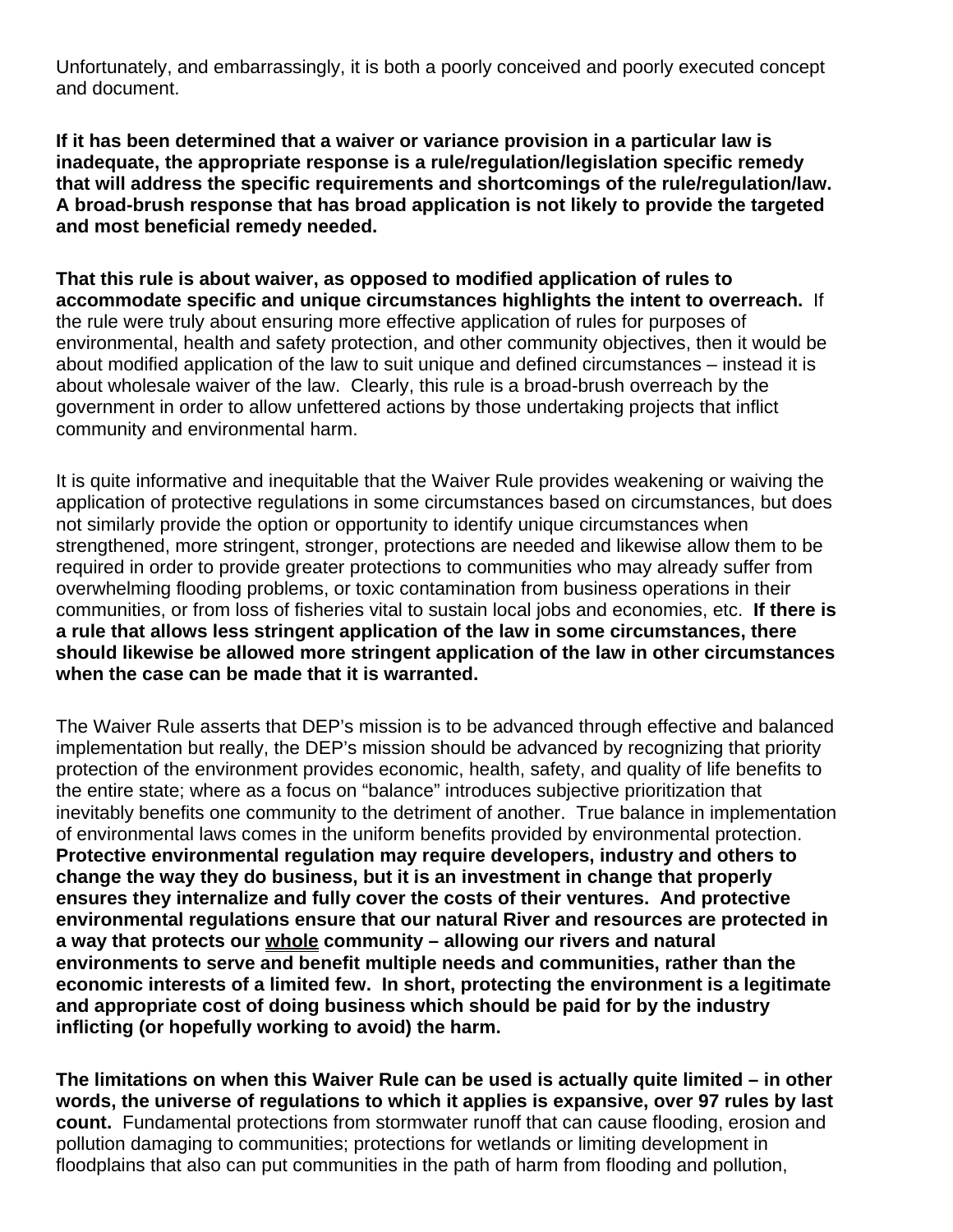Unfortunately, and embarrassingly, it is both a poorly conceived and poorly executed concept and document.

**If it has been determined that a waiver or variance provision in a particular law is inadequate, the appropriate response is a rule/regulation/legislation specific remedy that will address the specific requirements and shortcomings of the rule/regulation/law. A broad-brush response that has broad application is not likely to provide the targeted and most beneficial remedy needed.** 

**That this rule is about waiver, as opposed to modified application of rules to accommodate specific and unique circumstances highlights the intent to overreach.** If the rule were truly about ensuring more effective application of rules for purposes of environmental, health and safety protection, and other community objectives, then it would be about modified application of the law to suit unique and defined circumstances – instead it is about wholesale waiver of the law. Clearly, this rule is a broad-brush overreach by the government in order to allow unfettered actions by those undertaking projects that inflict community and environmental harm.

It is quite informative and inequitable that the Waiver Rule provides weakening or waiving the application of protective regulations in some circumstances based on circumstances, but does not similarly provide the option or opportunity to identify unique circumstances when strengthened, more stringent, stronger, protections are needed and likewise allow them to be required in order to provide greater protections to communities who may already suffer from overwhelming flooding problems, or toxic contamination from business operations in their communities, or from loss of fisheries vital to sustain local jobs and economies, etc. **If there is a rule that allows less stringent application of the law in some circumstances, there should likewise be allowed more stringent application of the law in other circumstances when the case can be made that it is warranted.** 

The Waiver Rule asserts that DEP's mission is to be advanced through effective and balanced implementation but really, the DEP's mission should be advanced by recognizing that priority protection of the environment provides economic, health, safety, and quality of life benefits to the entire state; where as a focus on "balance" introduces subjective prioritization that inevitably benefits one community to the detriment of another. True balance in implementation of environmental laws comes in the uniform benefits provided by environmental protection. **Protective environmental regulation may require developers, industry and others to change the way they do business, but it is an investment in change that properly ensures they internalize and fully cover the costs of their ventures. And protective environmental regulations ensure that our natural River and resources are protected in a way that protects our whole community – allowing our rivers and natural environments to serve and benefit multiple needs and communities, rather than the economic interests of a limited few. In short, protecting the environment is a legitimate and appropriate cost of doing business which should be paid for by the industry inflicting (or hopefully working to avoid) the harm.**

**The limitations on when this Waiver Rule can be used is actually quite limited – in other words, the universe of regulations to which it applies is expansive, over 97 rules by last count.** Fundamental protections from stormwater runoff that can cause flooding, erosion and pollution damaging to communities; protections for wetlands or limiting development in floodplains that also can put communities in the path of harm from flooding and pollution,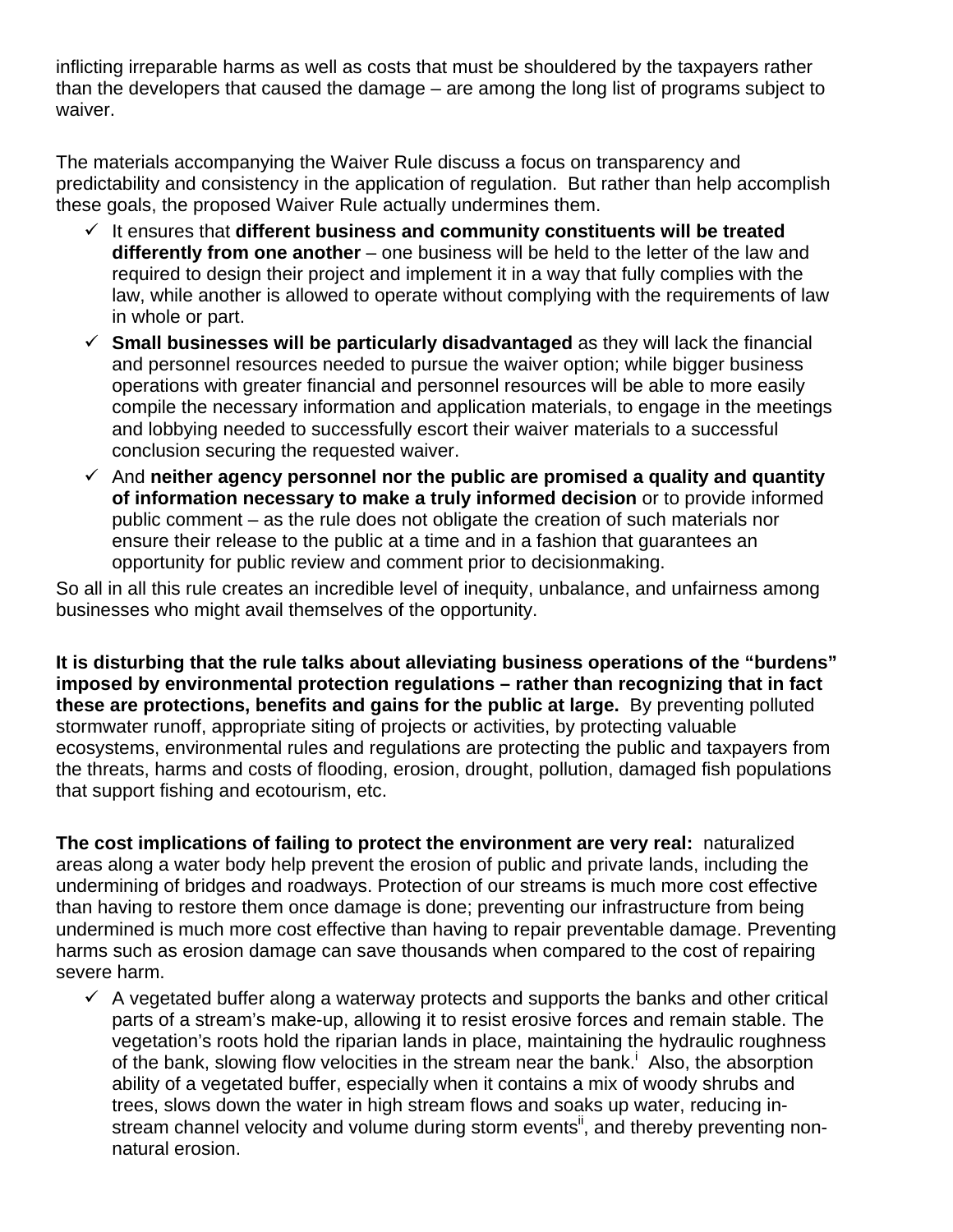inflicting irreparable harms as well as costs that must be shouldered by the taxpayers rather than the developers that caused the damage – are among the long list of programs subject to waiver.

The materials accompanying the Waiver Rule discuss a focus on transparency and predictability and consistency in the application of regulation. But rather than help accomplish these goals, the proposed Waiver Rule actually undermines them.

- $\checkmark$  It ensures that **different business and community constituents will be treated differently from one another** – one business will be held to the letter of the law and required to design their project and implement it in a way that fully complies with the law, while another is allowed to operate without complying with the requirements of law in whole or part.
- **Small businesses will be particularly disadvantaged** as they will lack the financial and personnel resources needed to pursue the waiver option; while bigger business operations with greater financial and personnel resources will be able to more easily compile the necessary information and application materials, to engage in the meetings and lobbying needed to successfully escort their waiver materials to a successful conclusion securing the requested waiver.
- And **neither agency personnel nor the public are promised a quality and quantity of information necessary to make a truly informed decision** or to provide informed public comment – as the rule does not obligate the creation of such materials nor ensure their release to the public at a time and in a fashion that guarantees an opportunity for public review and comment prior to decisionmaking.

So all in all this rule creates an incredible level of inequity, unbalance, and unfairness among businesses who might avail themselves of the opportunity.

**It is disturbing that the rule talks about alleviating business operations of the "burdens" imposed by environmental protection regulations – rather than recognizing that in fact these are protections, benefits and gains for the public at large.** By preventing polluted stormwater runoff, appropriate siting of projects or activities, by protecting valuable ecosystems, environmental rules and regulations are protecting the public and taxpayers from the threats, harms and costs of flooding, erosion, drought, pollution, damaged fish populations that support fishing and ecotourism, etc.

**The cost implications of failing to protect the environment are very real:** naturalized areas along a water body help prevent the erosion of public and private lands, including the undermining of bridges and roadways. Protection of our streams is much more cost effective than having to restore them once damage is done; preventing our infrastructure from being undermined is much more cost effective than having to repair preventable damage. Preventing harms such as erosion damage can save thousands when compared to the cost of repairing severe harm.

 $\checkmark$  A vegetated buffer along a waterway protects and supports the banks and other critical parts of a stream's make-up, allowing it to resist erosive forces and remain stable. The vegetation's roots hold the riparian lands in place, maintaining the hydraulic roughness of the bank, slowing flow velocities in the stream near the bank.<sup>i</sup> Also, the absorption ability of a vegetated buffer, especially when it contains a mix of woody shrubs and trees, slows down the water in high stream flows and soaks up water, reducing instream channel velocity and volume during storm events<sup>it</sup>, and thereby preventing nonnatural erosion.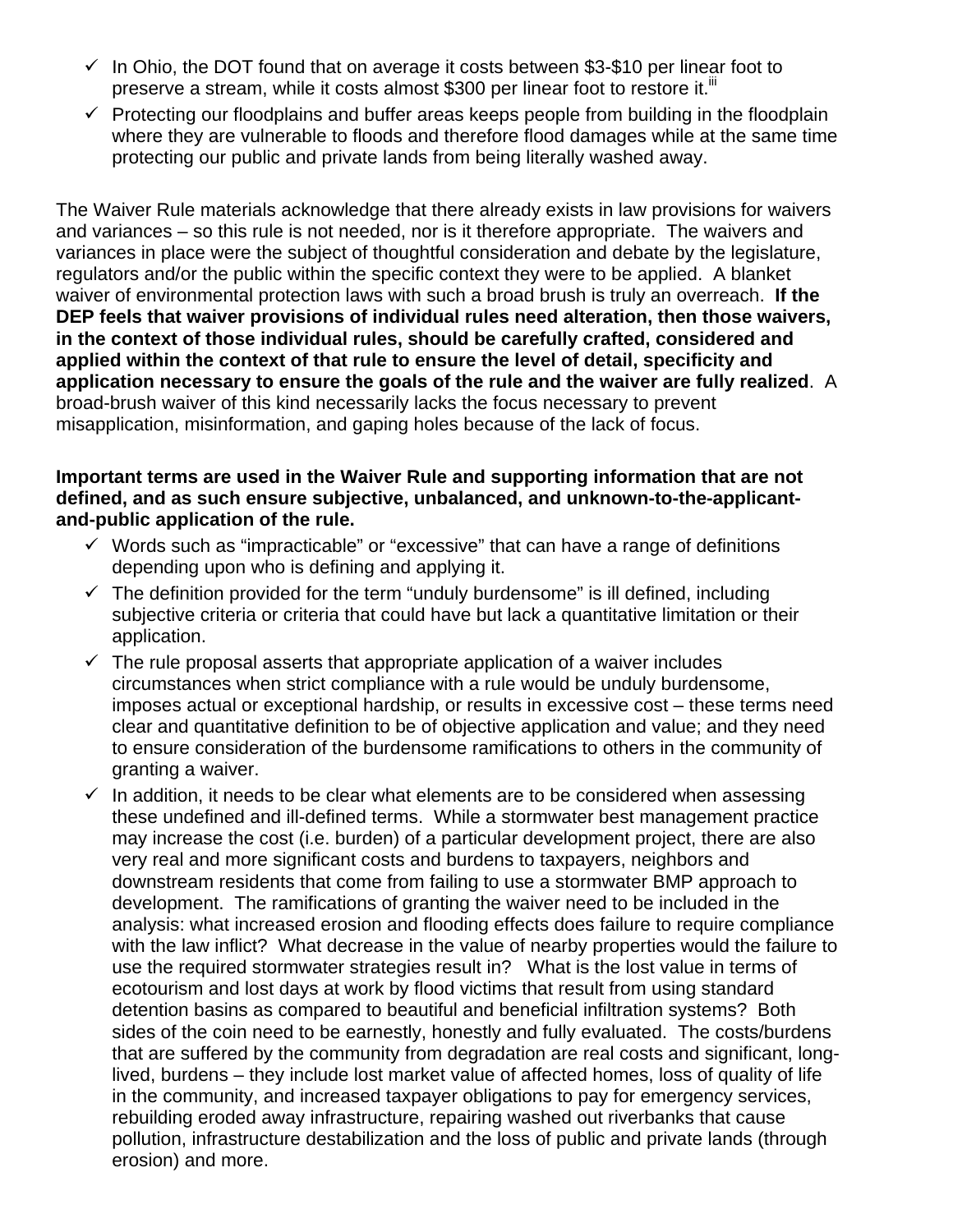- $\checkmark$  In Ohio, the DOT found that on average it costs between \$3-\$10 per linear foot to preserve a stream, while it costs almost \$300 per linear foot to restore it.<sup>iii</sup>
- $\checkmark$  Protecting our floodplains and buffer areas keeps people from building in the floodplain where they are vulnerable to floods and therefore flood damages while at the same time protecting our public and private lands from being literally washed away.

The Waiver Rule materials acknowledge that there already exists in law provisions for waivers and variances – so this rule is not needed, nor is it therefore appropriate. The waivers and variances in place were the subject of thoughtful consideration and debate by the legislature, regulators and/or the public within the specific context they were to be applied. A blanket waiver of environmental protection laws with such a broad brush is truly an overreach. **If the DEP feels that waiver provisions of individual rules need alteration, then those waivers, in the context of those individual rules, should be carefully crafted, considered and applied within the context of that rule to ensure the level of detail, specificity and application necessary to ensure the goals of the rule and the waiver are fully realized**. A broad-brush waiver of this kind necessarily lacks the focus necessary to prevent misapplication, misinformation, and gaping holes because of the lack of focus.

## **Important terms are used in the Waiver Rule and supporting information that are not defined, and as such ensure subjective, unbalanced, and unknown-to-the-applicantand-public application of the rule.**

- $\checkmark$  Words such as "impracticable" or "excessive" that can have a range of definitions depending upon who is defining and applying it.
- $\checkmark$  The definition provided for the term "unduly burdensome" is ill defined, including subjective criteria or criteria that could have but lack a quantitative limitation or their application.
- $\checkmark$  The rule proposal asserts that appropriate application of a waiver includes circumstances when strict compliance with a rule would be unduly burdensome, imposes actual or exceptional hardship, or results in excessive cost – these terms need clear and quantitative definition to be of objective application and value; and they need to ensure consideration of the burdensome ramifications to others in the community of granting a waiver.
- $\checkmark$  In addition, it needs to be clear what elements are to be considered when assessing these undefined and ill-defined terms. While a stormwater best management practice may increase the cost (i.e. burden) of a particular development project, there are also very real and more significant costs and burdens to taxpayers, neighbors and downstream residents that come from failing to use a stormwater BMP approach to development. The ramifications of granting the waiver need to be included in the analysis: what increased erosion and flooding effects does failure to require compliance with the law inflict? What decrease in the value of nearby properties would the failure to use the required stormwater strategies result in? What is the lost value in terms of ecotourism and lost days at work by flood victims that result from using standard detention basins as compared to beautiful and beneficial infiltration systems? Both sides of the coin need to be earnestly, honestly and fully evaluated. The costs/burdens that are suffered by the community from degradation are real costs and significant, longlived, burdens – they include lost market value of affected homes, loss of quality of life in the community, and increased taxpayer obligations to pay for emergency services, rebuilding eroded away infrastructure, repairing washed out riverbanks that cause pollution, infrastructure destabilization and the loss of public and private lands (through erosion) and more.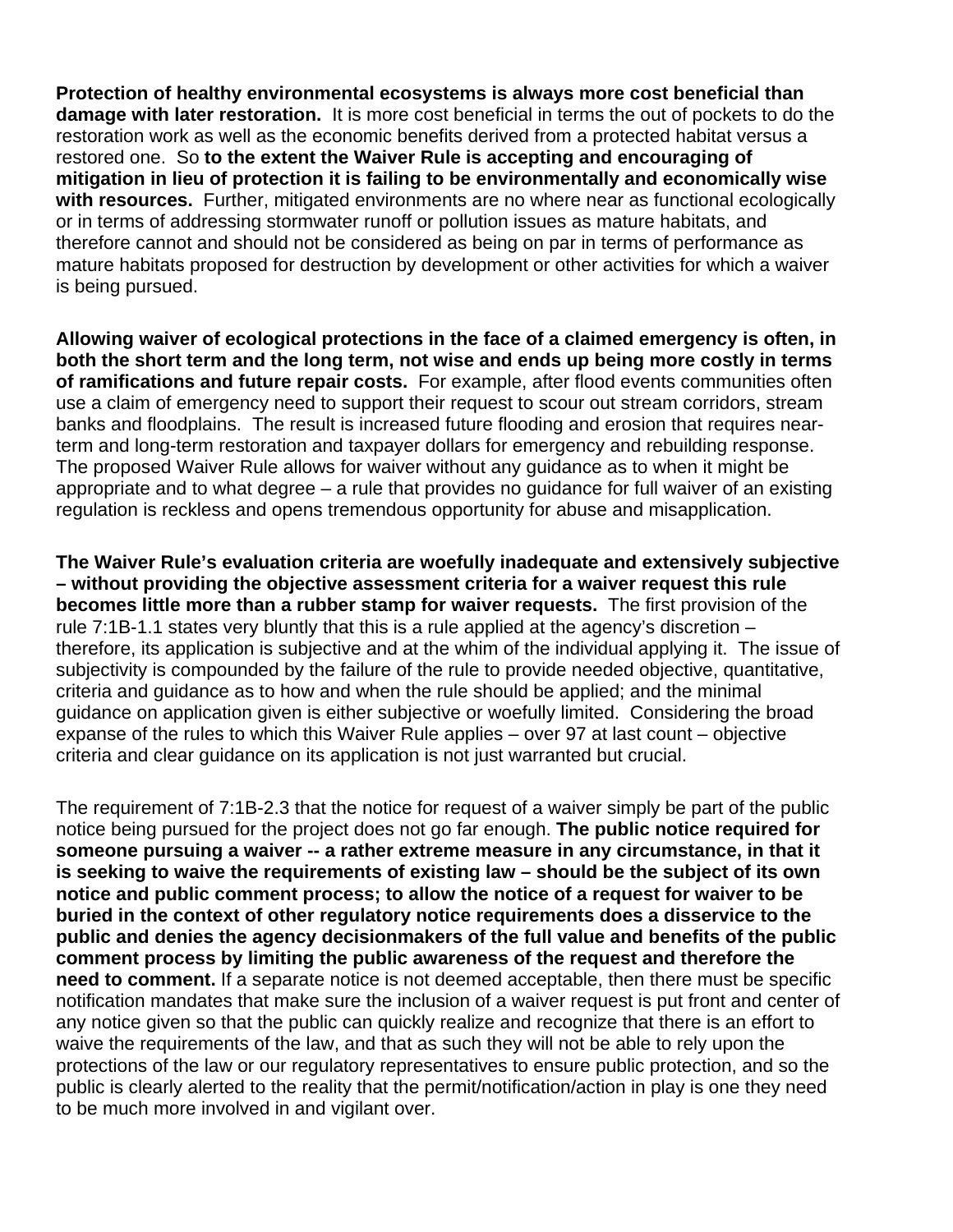**Protection of healthy environmental ecosystems is always more cost beneficial than damage with later restoration.** It is more cost beneficial in terms the out of pockets to do the restoration work as well as the economic benefits derived from a protected habitat versus a restored one. So **to the extent the Waiver Rule is accepting and encouraging of mitigation in lieu of protection it is failing to be environmentally and economically wise with resources.** Further, mitigated environments are no where near as functional ecologically or in terms of addressing stormwater runoff or pollution issues as mature habitats, and therefore cannot and should not be considered as being on par in terms of performance as mature habitats proposed for destruction by development or other activities for which a waiver is being pursued.

**Allowing waiver of ecological protections in the face of a claimed emergency is often, in both the short term and the long term, not wise and ends up being more costly in terms of ramifications and future repair costs.** For example, after flood events communities often use a claim of emergency need to support their request to scour out stream corridors, stream banks and floodplains. The result is increased future flooding and erosion that requires nearterm and long-term restoration and taxpayer dollars for emergency and rebuilding response. The proposed Waiver Rule allows for waiver without any guidance as to when it might be appropriate and to what degree – a rule that provides no guidance for full waiver of an existing regulation is reckless and opens tremendous opportunity for abuse and misapplication.

**The Waiver Rule's evaluation criteria are woefully inadequate and extensively subjective – without providing the objective assessment criteria for a waiver request this rule becomes little more than a rubber stamp for waiver requests.** The first provision of the rule 7:1B-1.1 states very bluntly that this is a rule applied at the agency's discretion  $$ therefore, its application is subjective and at the whim of the individual applying it. The issue of subjectivity is compounded by the failure of the rule to provide needed objective, quantitative, criteria and guidance as to how and when the rule should be applied; and the minimal guidance on application given is either subjective or woefully limited. Considering the broad expanse of the rules to which this Waiver Rule applies – over 97 at last count – objective criteria and clear guidance on its application is not just warranted but crucial.

The requirement of 7:1B-2.3 that the notice for request of a waiver simply be part of the public notice being pursued for the project does not go far enough. **The public notice required for someone pursuing a waiver -- a rather extreme measure in any circumstance, in that it is seeking to waive the requirements of existing law – should be the subject of its own notice and public comment process; to allow the notice of a request for waiver to be buried in the context of other regulatory notice requirements does a disservice to the public and denies the agency decisionmakers of the full value and benefits of the public comment process by limiting the public awareness of the request and therefore the need to comment.** If a separate notice is not deemed acceptable, then there must be specific notification mandates that make sure the inclusion of a waiver request is put front and center of any notice given so that the public can quickly realize and recognize that there is an effort to waive the requirements of the law, and that as such they will not be able to rely upon the protections of the law or our regulatory representatives to ensure public protection, and so the public is clearly alerted to the reality that the permit/notification/action in play is one they need to be much more involved in and vigilant over.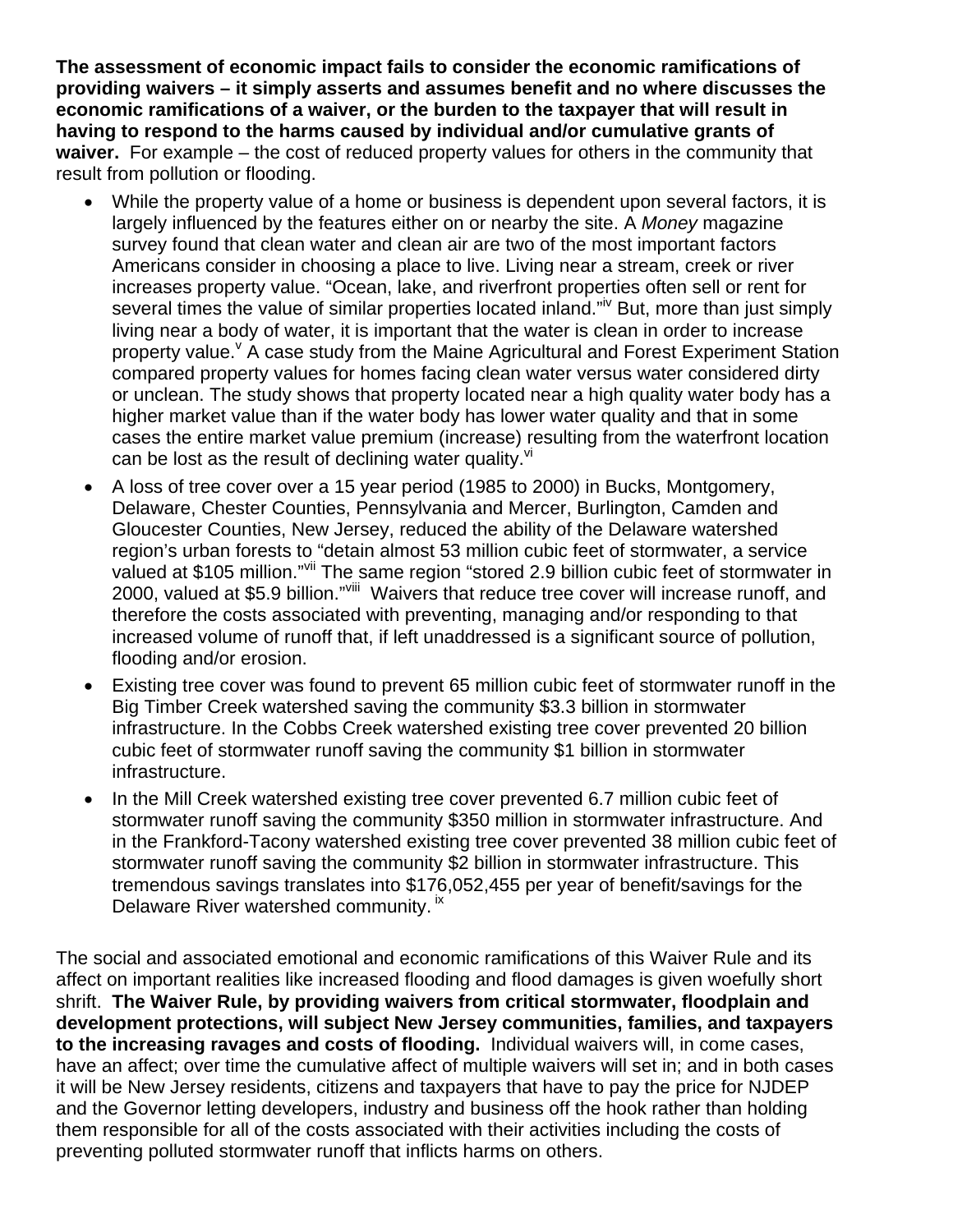**The assessment of economic impact fails to consider the economic ramifications of providing waivers – it simply asserts and assumes benefit and no where discusses the economic ramifications of a waiver, or the burden to the taxpayer that will result in having to respond to the harms caused by individual and/or cumulative grants of waiver.** For example – the cost of reduced property values for others in the community that result from pollution or flooding.

- While the property value of a home or business is dependent upon several factors, it is largely influenced by the features either on or nearby the site. A *Money* magazine survey found that clean water and clean air are two of the most important factors Americans consider in choosing a place to live. Living near a stream, creek or river increases property value. "Ocean, lake, and riverfront properties often sell or rent for several times the value of similar properties located inland."<sup>IV</sup> But, more than just simply living near a body of water, it is important that the water is clean in order to increase property value. <sup>V</sup> A case study from the Maine Agricultural and Forest Experiment Station compared property values for homes facing clean water versus water considered dirty or unclean. The study shows that property located near a high quality water body has a higher market value than if the water body has lower water quality and that in some cases the entire market value premium (increase) resulting from the waterfront location can be lost as the result of declining water quality. $V =$
- A loss of tree cover over a 15 year period (1985 to 2000) in Bucks, Montgomery, Delaware, Chester Counties, Pennsylvania and Mercer, Burlington, Camden and Gloucester Counties, New Jersey, reduced the ability of the Delaware watershed region's urban forests to "detain almost 53 million cubic feet of stormwater, a service valued at \$105 million."<sup>vii</sup> The same region "stored 2.9 billion cubic feet of stormwater in 2000, valued at \$5.9 billion."<sup>viii</sup> Waivers that reduce tree cover will increase runoff, and therefore the costs associated with preventing, managing and/or responding to that increased volume of runoff that, if left unaddressed is a significant source of pollution, flooding and/or erosion.
- Existing tree cover was found to prevent 65 million cubic feet of stormwater runoff in the Big Timber Creek watershed saving the community \$3.3 billion in stormwater infrastructure. In the Cobbs Creek watershed existing tree cover prevented 20 billion cubic feet of stormwater runoff saving the community \$1 billion in stormwater infrastructure.
- In the Mill Creek watershed existing tree cover prevented 6.7 million cubic feet of stormwater runoff saving the community \$350 million in stormwater infrastructure. And in the Frankford-Tacony watershed existing tree cover prevented 38 million cubic feet of stormwater runoff saving the community \$2 billion in stormwater infrastructure. This tremendous savings translates into \$176,052,455 per year of benefit/savings for the Delaware River watershed community. <sup>ix</sup>

The social and associated emotional and economic ramifications of this Waiver Rule and its affect on important realities like increased flooding and flood damages is given woefully short shrift. **The Waiver Rule, by providing waivers from critical stormwater, floodplain and development protections, will subject New Jersey communities, families, and taxpayers to the increasing ravages and costs of flooding.** Individual waivers will, in come cases, have an affect; over time the cumulative affect of multiple waivers will set in; and in both cases it will be New Jersey residents, citizens and taxpayers that have to pay the price for NJDEP and the Governor letting developers, industry and business off the hook rather than holding them responsible for all of the costs associated with their activities including the costs of preventing polluted stormwater runoff that inflicts harms on others.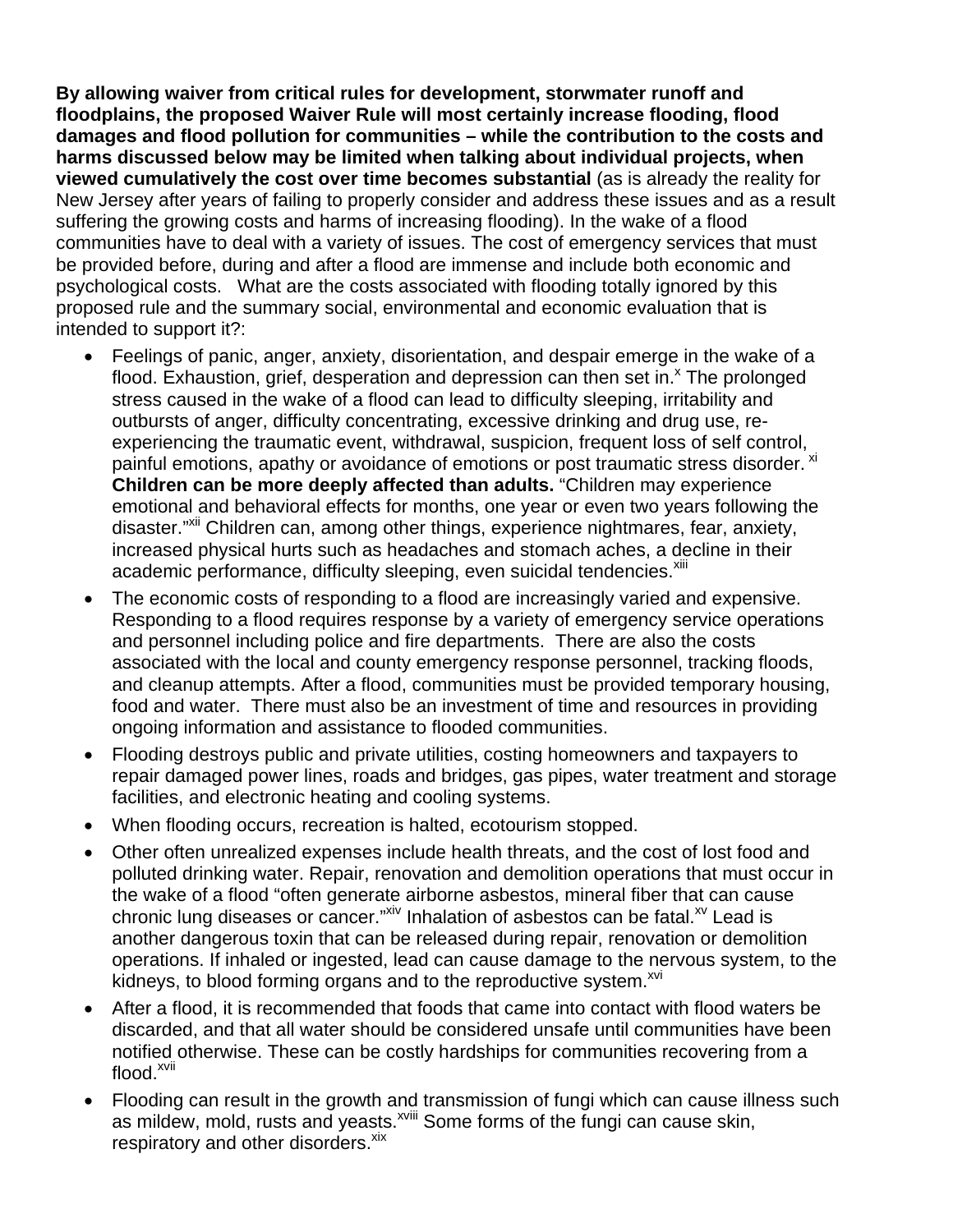**By allowing waiver from critical rules for development, storwmater runoff and floodplains, the proposed Waiver Rule will most certainly increase flooding, flood damages and flood pollution for communities – while the contribution to the costs and harms discussed below may be limited when talking about individual projects, when viewed cumulatively the cost over time becomes substantial** (as is already the reality for New Jersey after years of failing to properly consider and address these issues and as a result suffering the growing costs and harms of increasing flooding). In the wake of a flood communities have to deal with a variety of issues. The cost of emergency services that must be provided before, during and after a flood are immense and include both economic and psychological costs. What are the costs associated with flooding totally ignored by this proposed rule and the summary social, environmental and economic evaluation that is intended to support it?:

- Feelings of panic, anger, anxiety, disorientation, and despair emerge in the wake of a flood. Exhaustion, grief, desperation and depression can then set in. $^{\circ}$  The prolonged stress caused in the wake of a flood can lead to difficulty sleeping, irritability and outbursts of anger, difficulty concentrating, excessive drinking and drug use, reexperiencing the traumatic event, withdrawal, suspicion, frequent loss of self control, painful emotions, apathy or avoidance of emotions or post traumatic stress disorder. <sup>xi</sup> **Children can be more deeply affected than adults.** "Children may experience emotional and behavioral effects for months, one year or even two years following the disaster."<sup>Xii</sup> Children can, among other things, experience nightmares, fear, anxiety, increased physical hurts such as headaches and stomach aches, a decline in their academic performance, difficulty sleeping, even suicidal tendencies.<sup>xiii</sup>
- The economic costs of responding to a flood are increasingly varied and expensive. Responding to a flood requires response by a variety of emergency service operations and personnel including police and fire departments. There are also the costs associated with the local and county emergency response personnel, tracking floods, and cleanup attempts. After a flood, communities must be provided temporary housing, food and water. There must also be an investment of time and resources in providing ongoing information and assistance to flooded communities.
- Flooding destroys public and private utilities, costing homeowners and taxpayers to repair damaged power lines, roads and bridges, gas pipes, water treatment and storage facilities, and electronic heating and cooling systems.
- When flooding occurs, recreation is halted, ecotourism stopped.
- Other often unrealized expenses include health threats, and the cost of lost food and polluted drinking water. Repair, renovation and demolition operations that must occur in the wake of a flood "often generate airborne asbestos, mineral fiber that can cause chronic lung diseases or cancer."<sup>xiv</sup> Inhalation of asbestos can be fatal.<sup>xv</sup> Lead is another dangerous toxin that can be released during repair, renovation or demolition operations. If inhaled or ingested, lead can cause damage to the nervous system, to the kidneys, to blood forming organs and to the reproductive system.<sup>xvi</sup>
- After a flood, it is recommended that foods that came into contact with flood waters be discarded, and that all water should be considered unsafe until communities have been notified otherwise. These can be costly hardships for communities recovering from a flood.<sup>xvii</sup>
- Flooding can result in the growth and transmission of fungi which can cause illness such as mildew, mold, rusts and yeasts.<sup>xviii</sup> Some forms of the fungi can cause skin, respiratory and other disorders.<sup>xix</sup>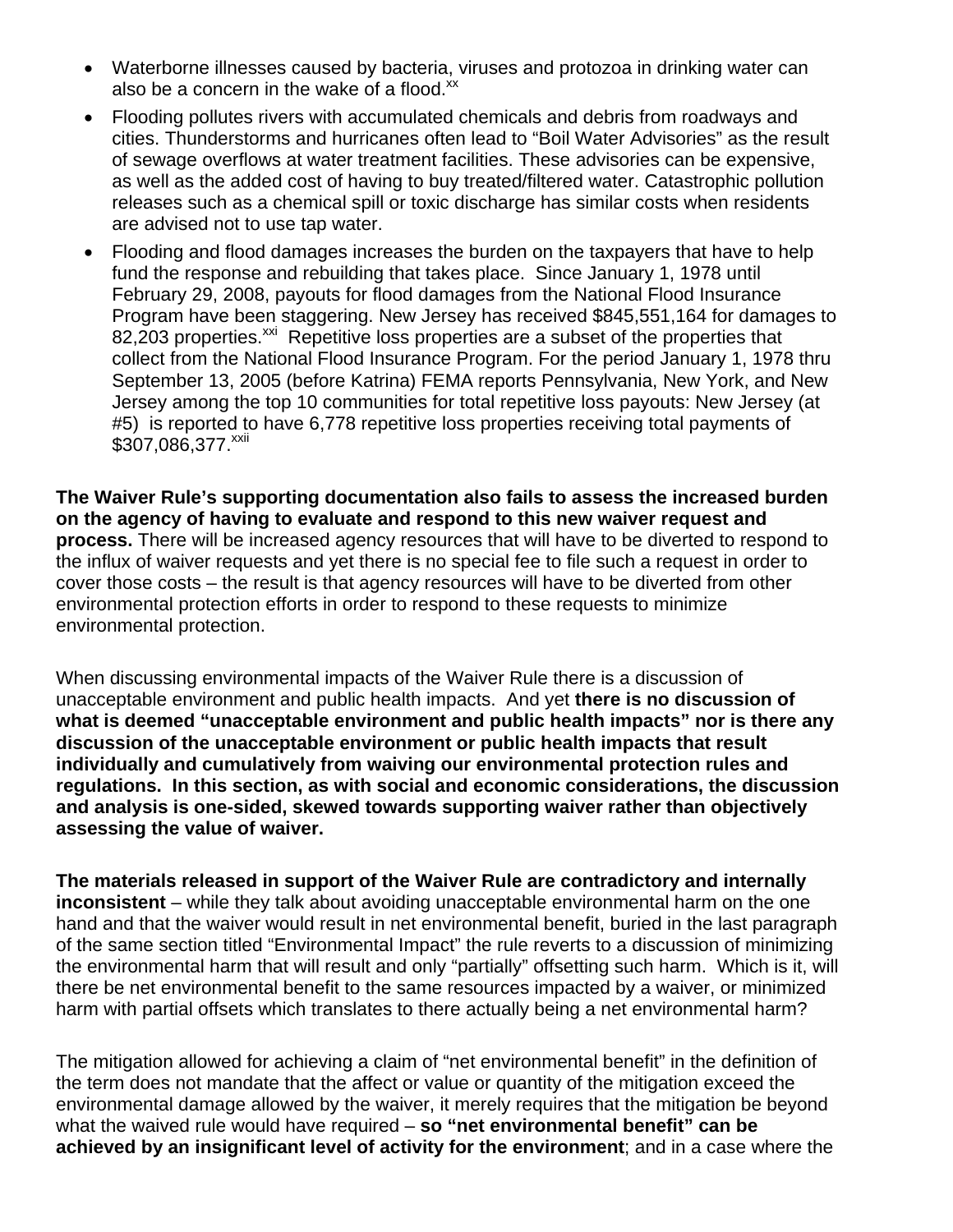- Waterborne illnesses caused by bacteria, viruses and protozoa in drinking water can also be a concern in the wake of a flood. $^{xx}$
- Flooding pollutes rivers with accumulated chemicals and debris from roadways and cities. Thunderstorms and hurricanes often lead to "Boil Water Advisories" as the result of sewage overflows at water treatment facilities. These advisories can be expensive, as well as the added cost of having to buy treated/filtered water. Catastrophic pollution releases such as a chemical spill or toxic discharge has similar costs when residents are advised not to use tap water.
- Flooding and flood damages increases the burden on the taxpayers that have to help fund the response and rebuilding that takes place. Since January 1, 1978 until February 29, 2008, payouts for flood damages from the National Flood Insurance Program have been staggering. New Jersey has received \$845,551,164 for damages to 82,203 properties.<sup>xxi</sup> Repetitive loss properties are a subset of the properties that collect from the National Flood Insurance Program. For the period January 1, 1978 thru September 13, 2005 (before Katrina) FEMA reports Pennsylvania, New York, and New Jersey among the top 10 communities for total repetitive loss payouts: New Jersey (at #5) is reported to have 6,778 repetitive loss properties receiving total payments of \$307,086,377.<sup>xxii</sup>

**The Waiver Rule's supporting documentation also fails to assess the increased burden on the agency of having to evaluate and respond to this new waiver request and process.** There will be increased agency resources that will have to be diverted to respond to the influx of waiver requests and yet there is no special fee to file such a request in order to cover those costs – the result is that agency resources will have to be diverted from other environmental protection efforts in order to respond to these requests to minimize environmental protection.

When discussing environmental impacts of the Waiver Rule there is a discussion of unacceptable environment and public health impacts. And yet **there is no discussion of what is deemed "unacceptable environment and public health impacts" nor is there any discussion of the unacceptable environment or public health impacts that result individually and cumulatively from waiving our environmental protection rules and regulations. In this section, as with social and economic considerations, the discussion and analysis is one-sided, skewed towards supporting waiver rather than objectively assessing the value of waiver.** 

**The materials released in support of the Waiver Rule are contradictory and internally inconsistent** – while they talk about avoiding unacceptable environmental harm on the one hand and that the waiver would result in net environmental benefit, buried in the last paragraph of the same section titled "Environmental Impact" the rule reverts to a discussion of minimizing the environmental harm that will result and only "partially" offsetting such harm. Which is it, will there be net environmental benefit to the same resources impacted by a waiver, or minimized harm with partial offsets which translates to there actually being a net environmental harm?

The mitigation allowed for achieving a claim of "net environmental benefit" in the definition of the term does not mandate that the affect or value or quantity of the mitigation exceed the environmental damage allowed by the waiver, it merely requires that the mitigation be beyond what the waived rule would have required – **so "net environmental benefit" can be achieved by an insignificant level of activity for the environment**; and in a case where the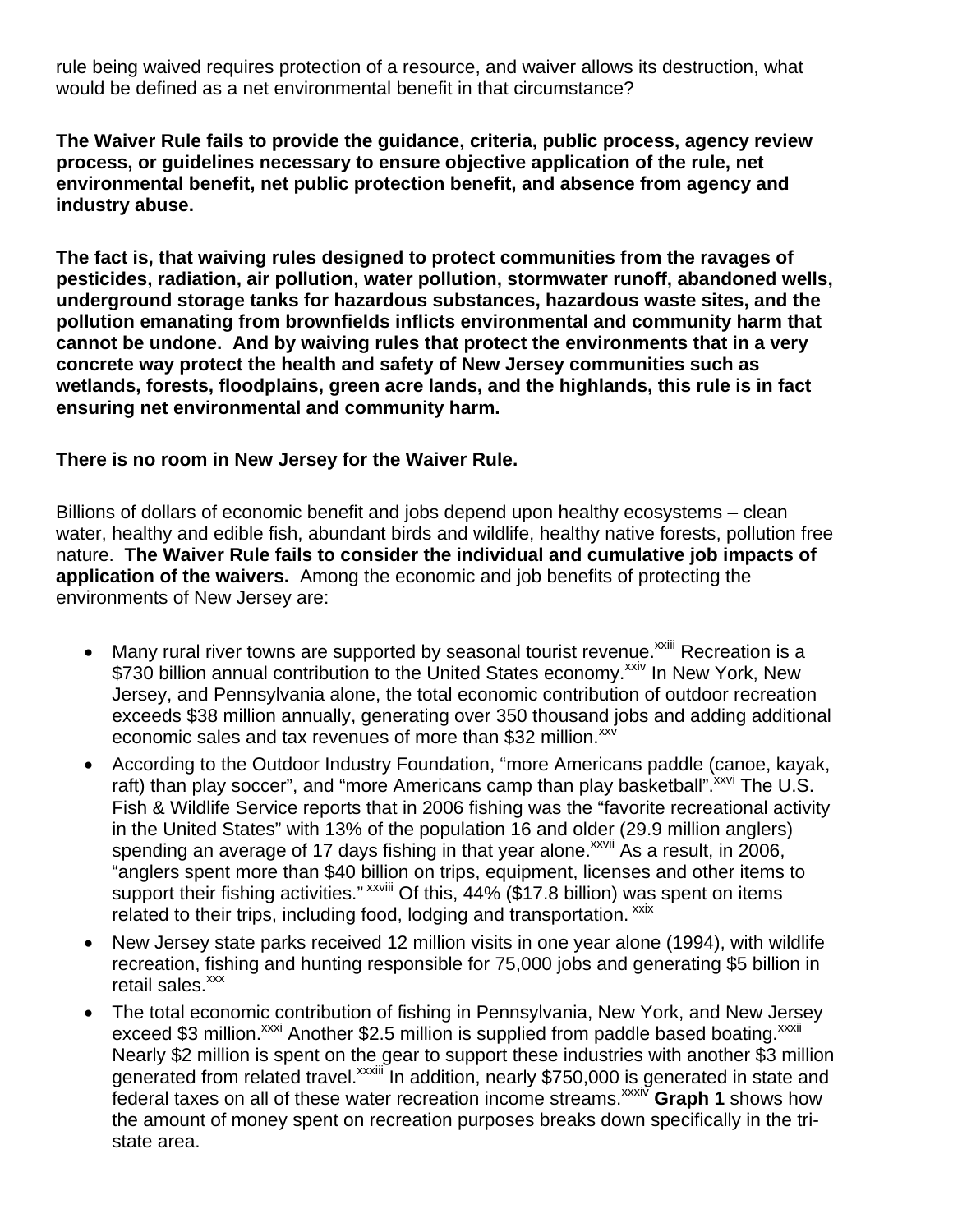rule being waived requires protection of a resource, and waiver allows its destruction, what would be defined as a net environmental benefit in that circumstance?

**The Waiver Rule fails to provide the guidance, criteria, public process, agency review process, or guidelines necessary to ensure objective application of the rule, net environmental benefit, net public protection benefit, and absence from agency and industry abuse.** 

**The fact is, that waiving rules designed to protect communities from the ravages of pesticides, radiation, air pollution, water pollution, stormwater runoff, abandoned wells, underground storage tanks for hazardous substances, hazardous waste sites, and the pollution emanating from brownfields inflicts environmental and community harm that cannot be undone. And by waiving rules that protect the environments that in a very concrete way protect the health and safety of New Jersey communities such as wetlands, forests, floodplains, green acre lands, and the highlands, this rule is in fact ensuring net environmental and community harm.** 

## **There is no room in New Jersey for the Waiver Rule.**

Billions of dollars of economic benefit and jobs depend upon healthy ecosystems – clean water, healthy and edible fish, abundant birds and wildlife, healthy native forests, pollution free nature. **The Waiver Rule fails to consider the individual and cumulative job impacts of application of the waivers.** Among the economic and job benefits of protecting the environments of New Jersey are:

- Many rural river towns are supported by seasonal tourist revenue.<sup>XXIII</sup> Recreation is a \$730 billion annual contribution to the United States economy.<sup>xxiv</sup> In New York, New Jersey, and Pennsylvania alone, the total economic contribution of outdoor recreation exceeds \$38 million annually, generating over 350 thousand jobs and adding additional economic sales and tax revenues of more than \$32 million. $x^{xx}$
- According to the Outdoor Industry Foundation, "more Americans paddle (canoe, kayak, raft) than play soccer", and "more Americans camp than play basketball".<sup>xxvi</sup> The U.S. Fish & Wildlife Service reports that in 2006 fishing was the "favorite recreational activity in the United States" with 13% of the population 16 and older (29.9 million anglers) spending an average of 17 days fishing in that year alone.<sup> $xxvii$ </sup> As a result, in 2006, "anglers spent more than \$40 billion on trips, equipment, licenses and other items to support their fishing activities." <sup>xxviii</sup> Of this, 44% (\$17.8 billion) was spent on items related to their trips, including food, lodging and transportation. xxix
- New Jersey state parks received 12 million visits in one year alone (1994), with wildlife recreation, fishing and hunting responsible for 75,000 jobs and generating \$5 billion in retail sales.<sup>xxx</sup>
- The total economic contribution of fishing in Pennsylvania, New York, and New Jersey exceed \$3 million.<sup>xxxi</sup> Another \$2.5 million is supplied from paddle based boating.<sup>xxxii</sup> Nearly \$2 million is spent on the gear to support these industries with another \$3 million generated from related travel.<sup>xxxiii</sup> In addition, nearly \$750,000 is generated in state and federal taxes on all of these water recreation income streams.<sup>xxxiv</sup> Graph 1 shows how the amount of money spent on recreation purposes breaks down specifically in the tristate area.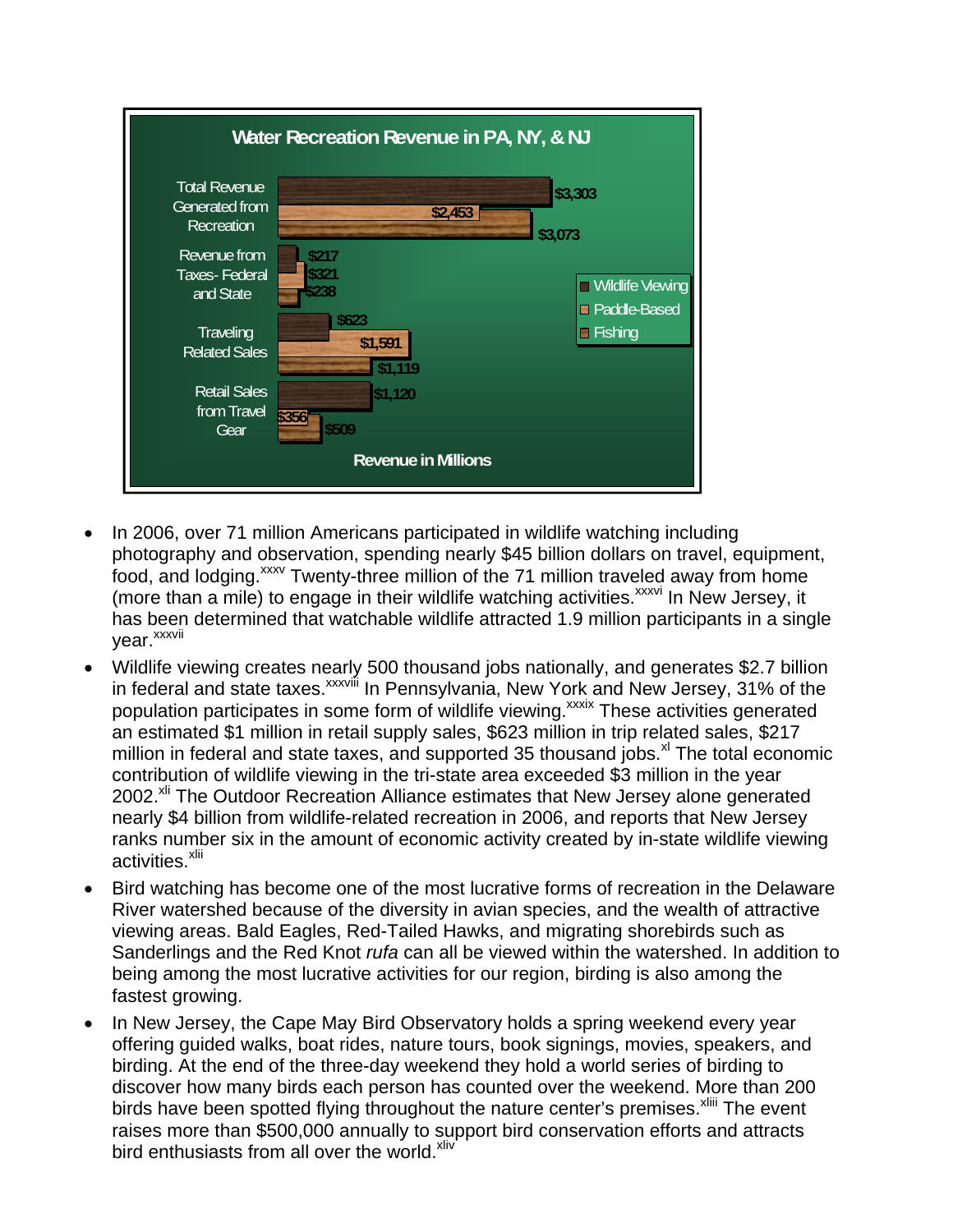

- In 2006, over 71 million Americans participated in wildlife watching including photography and observation, spending nearly \$45 billion dollars on travel, equipment, food, and lodging.<sup>xxxv</sup> Twenty-three million of the 71 million traveled away from home (more than a mile) to engage in their wildlife watching activities.<sup>xxxvi</sup> In New Jersey, it has been determined that watchable wildlife attracted 1.9 million participants in a single vear.<sup>xxxvii</sup>
- Wildlife viewing creates nearly 500 thousand jobs nationally, and generates \$2.7 billion in federal and state taxes.<sup>xxxviii</sup> In Pennsylvania, New York and New Jersey, 31% of the population participates in some form of wildlife viewing.<sup>xxxix</sup> These activities generated an estimated \$1 million in retail supply sales, \$623 million in trip related sales, \$217 million in federal and state taxes, and supported 35 thousand jobs. $x<sup>1</sup>$  The total economic contribution of wildlife viewing in the tri-state area exceeded \$3 million in the year 2002.<sup>xli</sup> The Outdoor Recreation Alliance estimates that New Jersey alone generated nearly \$4 billion from wildlife-related recreation in 2006, and reports that New Jersey ranks number six in the amount of economic activity created by in-state wildlife viewing activities.<sup>xlii</sup>
- Bird watching has become one of the most lucrative forms of recreation in the Delaware River watershed because of the diversity in avian species, and the wealth of attractive viewing areas. Bald Eagles, Red-Tailed Hawks, and migrating shorebirds such as Sanderlings and the Red Knot *rufa* can all be viewed within the watershed. In addition to being among the most lucrative activities for our region, birding is also among the fastest growing.
- In New Jersey, the Cape May Bird Observatory holds a spring weekend every year offering guided walks, boat rides, nature tours, book signings, movies, speakers, and birding. At the end of the three-day weekend they hold a world series of birding to discover how many birds each person has counted over the weekend. More than 200 birds have been spotted flying throughout the nature center's premises.<sup>Xliii</sup> The event raises more than \$500,000 annually to support bird conservation efforts and attracts bird enthusiasts from all over the world.<sup>xliv</sup>